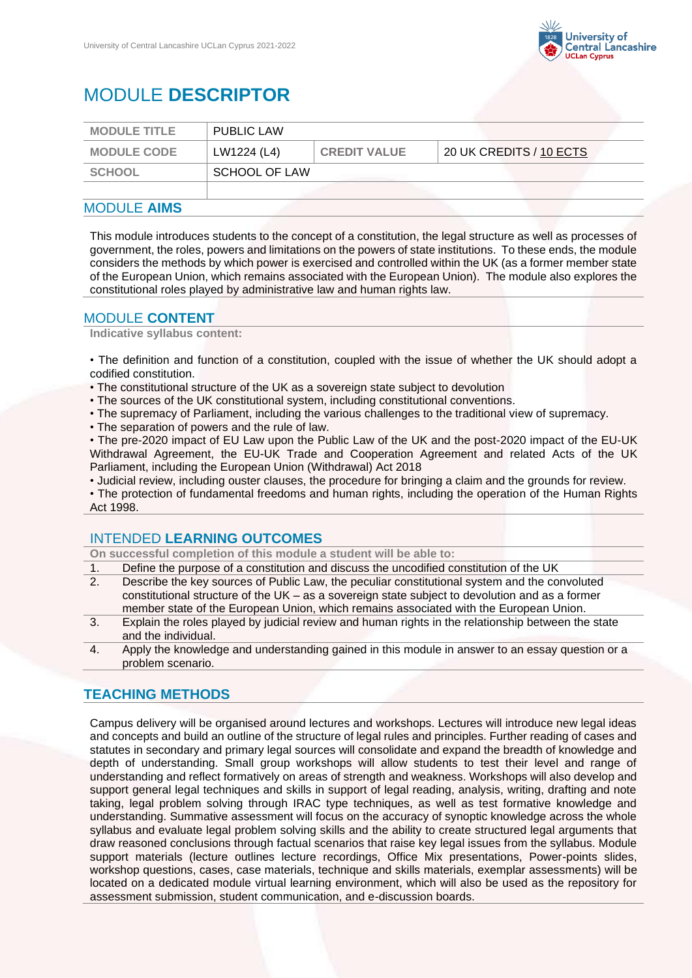

# MODULE **DESCRIPTOR**

| <b>MODULE TITLE</b> | <b>PUBLIC LAW</b> |                     |                                               |
|---------------------|-------------------|---------------------|-----------------------------------------------|
| <b>MODULE CODE</b>  | LW1224 (L4)       | <b>CREDIT VALUE</b> | $^{\circ}$ 20 UK CREDITS / 10 ECTS $^{\circ}$ |
| <b>SCHOOL</b>       | SCHOOL OF LAW     |                     |                                               |
|                     |                   |                     |                                               |

#### MODULE **AIMS**

This module introduces students to the concept of a constitution, the legal structure as well as processes of government, the roles, powers and limitations on the powers of state institutions. To these ends, the module considers the methods by which power is exercised and controlled within the UK (as a former member state of the European Union, which remains associated with the European Union). The module also explores the constitutional roles played by administrative law and human rights law.

#### MODULE **CONTENT**

**Indicative syllabus content:**

• The definition and function of a constitution, coupled with the issue of whether the UK should adopt a codified constitution.

- The constitutional structure of the UK as a sovereign state subject to devolution
- The sources of the UK constitutional system, including constitutional conventions.
- The supremacy of Parliament, including the various challenges to the traditional view of supremacy.
- The separation of powers and the rule of law.

• The pre-2020 impact of EU Law upon the Public Law of the UK and the post-2020 impact of the EU-UK Withdrawal Agreement, the EU-UK Trade and Cooperation Agreement and related Acts of the UK Parliament, including the European Union (Withdrawal) Act 2018

• Judicial review, including ouster clauses, the procedure for bringing a claim and the grounds for review.

• The protection of fundamental freedoms and human rights, including the operation of the Human Rights Act 1998.

#### INTENDED **LEARNING OUTCOMES**

**On successful completion of this module a student will be able to:**

- 1. Define the purpose of a constitution and discuss the uncodified constitution of the UK
- 2. Describe the key sources of Public Law, the peculiar constitutional system and the convoluted constitutional structure of the UK – as a sovereign state subject to devolution and as a former member state of the European Union, which remains associated with the European Union.
- 3. Explain the roles played by judicial review and human rights in the relationship between the state and the individual.
- 4. Apply the knowledge and understanding gained in this module in answer to an essay question or a problem scenario.

### **TEACHING METHODS**

Campus delivery will be organised around lectures and workshops. Lectures will introduce new legal ideas and concepts and build an outline of the structure of legal rules and principles. Further reading of cases and statutes in secondary and primary legal sources will consolidate and expand the breadth of knowledge and depth of understanding. Small group workshops will allow students to test their level and range of understanding and reflect formatively on areas of strength and weakness. Workshops will also develop and support general legal techniques and skills in support of legal reading, analysis, writing, drafting and note taking, legal problem solving through IRAC type techniques, as well as test formative knowledge and understanding. Summative assessment will focus on the accuracy of synoptic knowledge across the whole syllabus and evaluate legal problem solving skills and the ability to create structured legal arguments that draw reasoned conclusions through factual scenarios that raise key legal issues from the syllabus. Module support materials (lecture outlines lecture recordings, Office Mix presentations, Power-points slides, workshop questions, cases, case materials, technique and skills materials, exemplar assessments) will be located on a dedicated module virtual learning environment, which will also be used as the repository for assessment submission, student communication, and e-discussion boards.